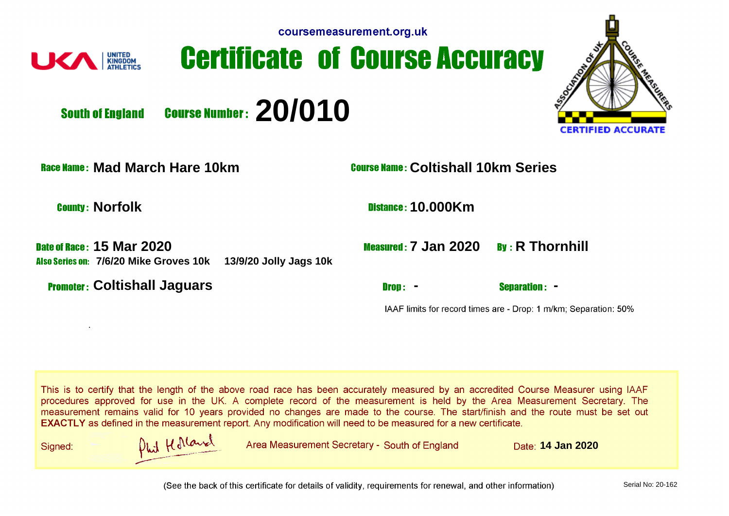| coursemeasurement.org.uk |  |  |
|--------------------------|--|--|
|                          |  |  |



**Certificate of Course Accuracy** 



**Course Number: 20/010 South of England** 

**Race Name: Mad March Hare 10km Course Name: Coltishall 10km Series** 

.

**County: Norfolk 10.000Km** 

**Date of Race: 15 Mar 2020 7/6/20 Mike Groves 10k 13/9/20 Jolly Jags 10k**

**Promoter: Coltishall Jaguars 4.1 Coltishall Jaguars 2.1 Coltishall Jaguars 2.1 Coltisher 2.1 Coltisher 2.1 Coltisher 2.1 Coltisher 2.1 Coltisher 2.1 Coltisher 2.1 Coltisher 2.1 Coltisher 2.1 Coltisher 2.1 Coltisher 2.1 Co** 

|  |  |  |  | Measured: 7 Jan 2020 By: R Thornhil |
|--|--|--|--|-------------------------------------|
|--|--|--|--|-------------------------------------|

IAAF limits for record times are - Drop: 1 m/km; Separation: 50%

This is to certify that the length of the above road race has been accurately measured by an accredited Course Measurer using IAAF procedures approved for use in the UK. A complete record of the measurement is held by the Area Measurement Secretary. The measurement remains valid for 10 years provided no changes are made to the course. The start/finish and the route must be set out **EXACTLY** as defined in the measurement report. Any modification will need to be measured for a new certificate.

Signed:



**14 Jan 2020** Area Measurement Secretary - South of England Date: 14 Jan 2020

(See the back of this certificate for details of validity, requirements for renewal, and other information)